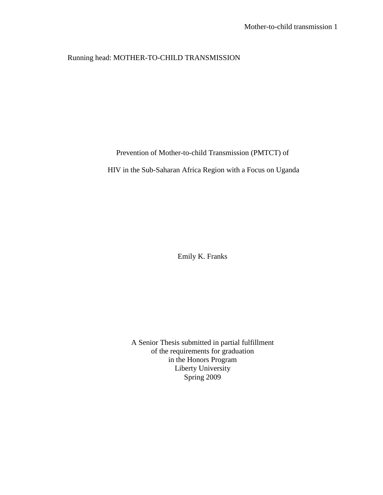# Running head: MOTHER-TO-CHILD TRANSMISSION

## Prevention of Mother-to-child Transmission (PMTCT) of

HIV in the Sub-Saharan Africa Region with a Focus on Uganda

Emily K. Franks

A Senior Thesis submitted in partial fulfillment of the requirements for graduation in the Honors Program Liberty University Spring 2009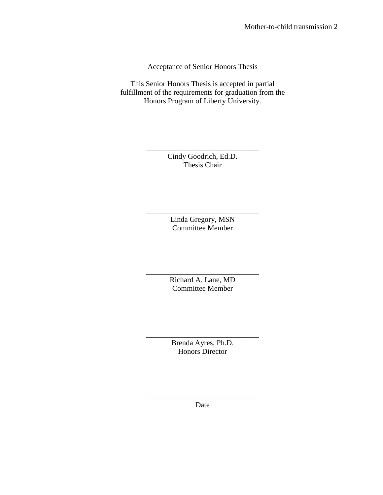Acceptance of Senior Honors Thesis

This Senior Honors Thesis is accepted in partial fulfillment of the requirements for graduation from the Honors Program of Liberty University.

> \_\_\_\_\_\_\_\_\_\_\_\_\_\_\_\_\_\_\_\_\_\_\_\_\_\_\_\_\_\_ Cindy Goodrich, Ed.D. Thesis Chair

> > Linda Gregory, MSN Committee Member

\_\_\_\_\_\_\_\_\_\_\_\_\_\_\_\_\_\_\_\_\_\_\_\_\_\_\_\_\_\_

\_\_\_\_\_\_\_\_\_\_\_\_\_\_\_\_\_\_\_\_\_\_\_\_\_\_\_\_\_\_ Richard A. Lane, MD Committee Member

\_\_\_\_\_\_\_\_\_\_\_\_\_\_\_\_\_\_\_\_\_\_\_\_\_\_\_\_\_\_ Brenda Ayres, Ph.D. Honors Director

\_\_\_\_\_\_\_\_\_\_\_\_\_\_\_\_\_\_\_\_\_\_\_\_\_\_\_\_\_\_ Date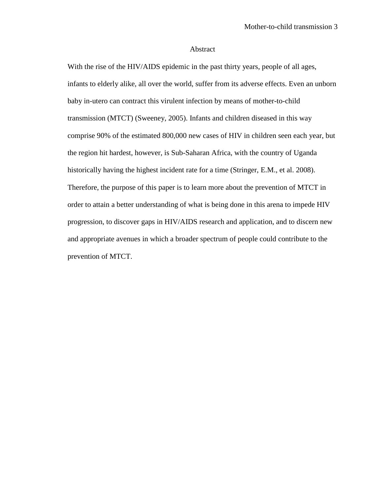#### Abstract

With the rise of the HIV/AIDS epidemic in the past thirty years, people of all ages, infants to elderly alike, all over the world, suffer from its adverse effects. Even an unborn baby in-utero can contract this virulent infection by means of mother-to-child transmission (MTCT) (Sweeney, 2005). Infants and children diseased in this way comprise 90% of the estimated 800,000 new cases of HIV in children seen each year, but the region hit hardest, however, is Sub-Saharan Africa, with the country of Uganda historically having the highest incident rate for a time (Stringer, E.M., et al. 2008). Therefore, the purpose of this paper is to learn more about the prevention of MTCT in order to attain a better understanding of what is being done in this arena to impede HIV progression, to discover gaps in HIV/AIDS research and application, and to discern new and appropriate avenues in which a broader spectrum of people could contribute to the prevention of MTCT.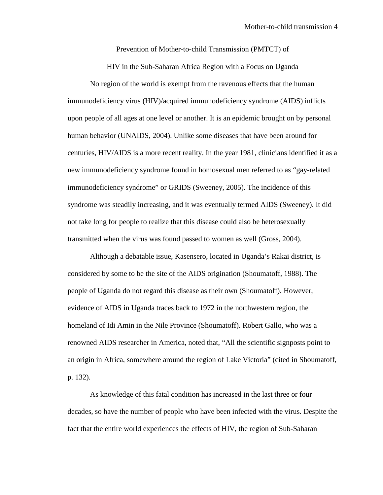Prevention of Mother-to-child Transmission (PMTCT) of

HIV in the Sub-Saharan Africa Region with a Focus on Uganda

No region of the world is exempt from the ravenous effects that the human immunodeficiency virus (HIV)/acquired immunodeficiency syndrome (AIDS) inflicts upon people of all ages at one level or another. It is an epidemic brought on by personal human behavior (UNAIDS, 2004). Unlike some diseases that have been around for centuries, HIV/AIDS is a more recent reality. In the year 1981, clinicians identified it as a new immunodeficiency syndrome found in homosexual men referred to as "gay-related immunodeficiency syndrome" or GRIDS (Sweeney, 2005). The incidence of this syndrome was steadily increasing, and it was eventually termed AIDS (Sweeney). It did not take long for people to realize that this disease could also be heterosexually transmitted when the virus was found passed to women as well (Gross, 2004).

Although a debatable issue, Kasensero, located in Uganda's Rakai district, is considered by some to be the site of the AIDS origination (Shoumatoff, 1988). The people of Uganda do not regard this disease as their own (Shoumatoff). However, evidence of AIDS in Uganda traces back to 1972 in the northwestern region, the homeland of Idi Amin in the Nile Province (Shoumatoff). Robert Gallo, who was a renowned AIDS researcher in America, noted that, "All the scientific signposts point to an origin in Africa, somewhere around the region of Lake Victoria" (cited in Shoumatoff, p. 132).

As knowledge of this fatal condition has increased in the last three or four decades, so have the number of people who have been infected with the virus. Despite the fact that the entire world experiences the effects of HIV, the region of Sub-Saharan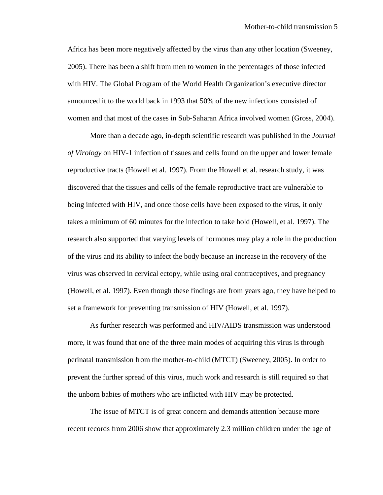Africa has been more negatively affected by the virus than any other location (Sweeney, 2005). There has been a shift from men to women in the percentages of those infected with HIV. The Global Program of the World Health Organization's executive director announced it to the world back in 1993 that 50% of the new infections consisted of women and that most of the cases in Sub-Saharan Africa involved women (Gross, 2004).

More than a decade ago, in-depth scientific research was published in the *Journal of Virology* on HIV-1 infection of tissues and cells found on the upper and lower female reproductive tracts (Howell et al. 1997). From the Howell et al. research study, it was discovered that the tissues and cells of the female reproductive tract are vulnerable to being infected with HIV, and once those cells have been exposed to the virus, it only takes a minimum of 60 minutes for the infection to take hold (Howell, et al. 1997). The research also supported that varying levels of hormones may play a role in the production of the virus and its ability to infect the body because an increase in the recovery of the virus was observed in cervical ectopy, while using oral contraceptives, and pregnancy (Howell, et al. 1997). Even though these findings are from years ago, they have helped to set a framework for preventing transmission of HIV (Howell, et al. 1997).

As further research was performed and HIV/AIDS transmission was understood more, it was found that one of the three main modes of acquiring this virus is through perinatal transmission from the mother-to-child (MTCT) (Sweeney, 2005). In order to prevent the further spread of this virus, much work and research is still required so that the unborn babies of mothers who are inflicted with HIV may be protected.

 The issue of MTCT is of great concern and demands attention because more recent records from 2006 show that approximately 2.3 million children under the age of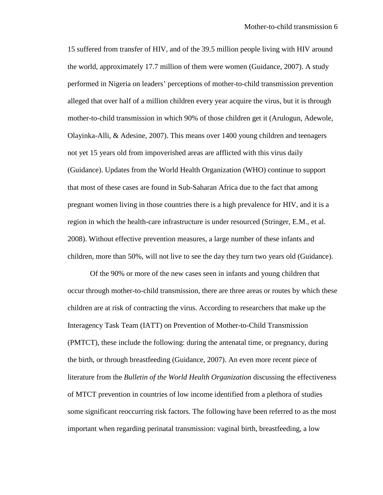15 suffered from transfer of HIV, and of the 39.5 million people living with HIV around the world, approximately 17.7 million of them were women (Guidance, 2007). A study performed in Nigeria on leaders' perceptions of mother-to-child transmission prevention alleged that over half of a million children every year acquire the virus, but it is through mother-to-child transmission in which 90% of those children get it (Arulogun, Adewole, Olayinka-Alli, & Adesine, 2007). This means over 1400 young children and teenagers not yet 15 years old from impoverished areas are afflicted with this virus daily (Guidance). Updates from the World Health Organization (WHO) continue to support that most of these cases are found in Sub-Saharan Africa due to the fact that among pregnant women living in those countries there is a high prevalence for HIV, and it is a region in which the health-care infrastructure is under resourced (Stringer, E.M., et al. 2008). Without effective prevention measures, a large number of these infants and children, more than 50%, will not live to see the day they turn two years old (Guidance).

Of the 90% or more of the new cases seen in infants and young children that occur through mother-to-child transmission, there are three areas or routes by which these children are at risk of contracting the virus. According to researchers that make up the Interagency Task Team (IATT) on Prevention of Mother-to-Child Transmission (PMTCT), these include the following: during the antenatal time, or pregnancy, during the birth, or through breastfeeding (Guidance, 2007). An even more recent piece of literature from the *Bulletin of the World Health Organization* discussing the effectiveness of MTCT prevention in countries of low income identified from a plethora of studies some significant reoccurring risk factors. The following have been referred to as the most important when regarding perinatal transmission: vaginal birth, breastfeeding, a low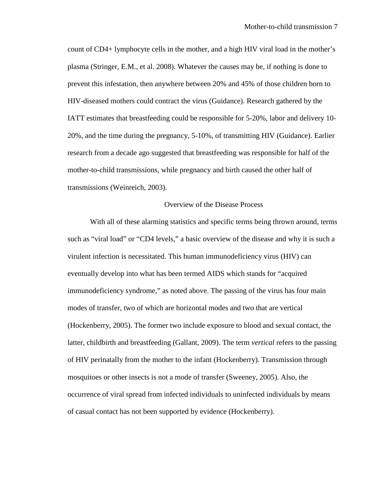count of CD4+ lymphocyte cells in the mother, and a high HIV viral load in the mother's plasma (Stringer, E.M., et al. 2008). Whatever the causes may be, if nothing is done to prevent this infestation, then anywhere between 20% and 45% of those children born to HIV-diseased mothers could contract the virus (Guidance). Research gathered by the IATT estimates that breastfeeding could be responsible for 5-20%, labor and delivery 10- 20%, and the time during the pregnancy, 5-10%, of transmitting HIV (Guidance). Earlier research from a decade ago suggested that breastfeeding was responsible for half of the mother-to-child transmissions, while pregnancy and birth caused the other half of transmissions (Weinreich, 2003).

### Overview of the Disease Process

With all of these alarming statistics and specific terms being thrown around, terms such as "viral load" or "CD4 levels," a basic overview of the disease and why it is such a virulent infection is necessitated. This human immunodeficiency virus (HIV) can eventually develop into what has been termed AIDS which stands for "acquired immunodeficiency syndrome," as noted above. The passing of the virus has four main modes of transfer, two of which are horizontal modes and two that are vertical (Hockenberry, 2005). The former two include exposure to blood and sexual contact, the latter, childbirth and breastfeeding (Gallant, 2009). The term *vertical* refers to the passing of HIV perinatally from the mother to the infant (Hockenberry). Transmission through mosquitoes or other insects is not a mode of transfer (Sweeney, 2005). Also, the occurrence of viral spread from infected individuals to uninfected individuals by means of casual contact has not been supported by evidence (Hockenberry).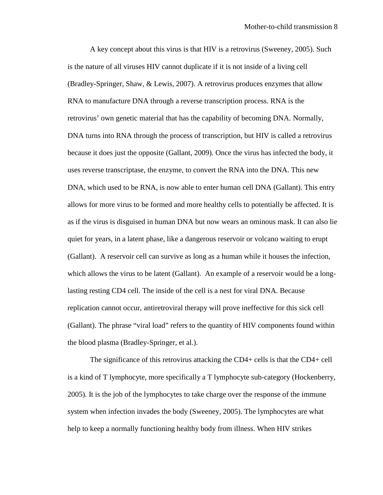A key concept about this virus is that HIV is a retrovirus (Sweeney, 2005). Such is the nature of all viruses HIV cannot duplicate if it is not inside of a living cell (Bradley-Springer, Shaw, & Lewis, 2007). A retrovirus produces enzymes that allow RNA to manufacture DNA through a reverse transcription process. RNA is the retrovirus' own genetic material that has the capability of becoming DNA. Normally, DNA turns into RNA through the process of transcription, but HIV is called a retrovirus because it does just the opposite (Gallant, 2009). Once the virus has infected the body, it uses reverse transcriptase, the enzyme, to convert the RNA into the DNA. This new DNA, which used to be RNA, is now able to enter human cell DNA (Gallant). This entry allows for more virus to be formed and more healthy cells to potentially be affected. It is as if the virus is disguised in human DNA but now wears an ominous mask. It can also lie quiet for years, in a latent phase, like a dangerous reservoir or volcano waiting to erupt (Gallant). A reservoir cell can survive as long as a human while it houses the infection, which allows the virus to be latent (Gallant). An example of a reservoir would be a longlasting resting CD4 cell. The inside of the cell is a nest for viral DNA. Because replication cannot occur, antiretroviral therapy will prove ineffective for this sick cell (Gallant). The phrase "viral load" refers to the quantity of HIV components found within the blood plasma (Bradley-Springer, et al.).

 The significance of this retrovirus attacking the CD4+ cells is that the CD4+ cell is a kind of T lymphocyte, more specifically a T lymphocyte sub-category (Hockenberry, 2005). It is the job of the lymphocytes to take charge over the response of the immune system when infection invades the body (Sweeney, 2005). The lymphocytes are what help to keep a normally functioning healthy body from illness. When HIV strikes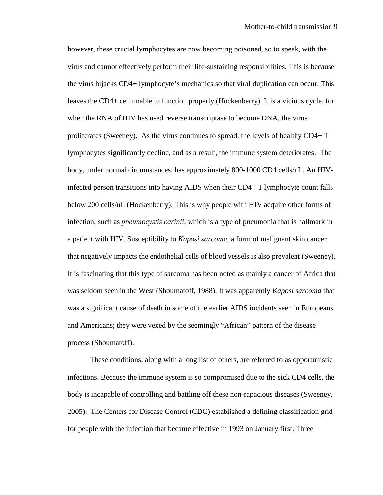however, these crucial lymphocytes are now becoming poisoned, so to speak, with the virus and cannot effectively perform their life-sustaining responsibilities. This is because the virus hijacks CD4+ lymphocyte's mechanics so that viral duplication can occur. This leaves the CD4+ cell unable to function properly (Hockenberry). It is a vicious cycle, for when the RNA of HIV has used reverse transcriptase to become DNA, the virus proliferates (Sweeney). As the virus continues to spread, the levels of healthy CD4+ T lymphocytes significantly decline, and as a result, the immune system deteriorates. The body, under normal circumstances, has approximately 800-1000 CD4 cells/uL. An HIVinfected person transitions into having AIDS when their CD4+ T lymphocyte count falls below 200 cells/uL (Hockenberry). This is why people with HIV acquire other forms of infection, such as *pneumocystis carinii*, which is a type of pneumonia that is hallmark in a patient with HIV. Susceptibility to *Kaposi sarcoma*, a form of malignant skin cancer that negatively impacts the endothelial cells of blood vessels is also prevalent (Sweeney). It is fascinating that this type of sarcoma has been noted as mainly a cancer of Africa that was seldom seen in the West (Shoumatoff, 1988). It was apparently *Kaposi sarcoma* that was a significant cause of death in some of the earlier AIDS incidents seen in Europeans and Americans; they were vexed by the seemingly "African" pattern of the disease process (Shoumatoff).

 These conditions, along with a long list of others, are referred to as opportunistic infections. Because the immune system is so compromised due to the sick CD4 cells, the body is incapable of controlling and battling off these non-rapacious diseases (Sweeney, 2005). The Centers for Disease Control (CDC) established a defining classification grid for people with the infection that became effective in 1993 on January first. Three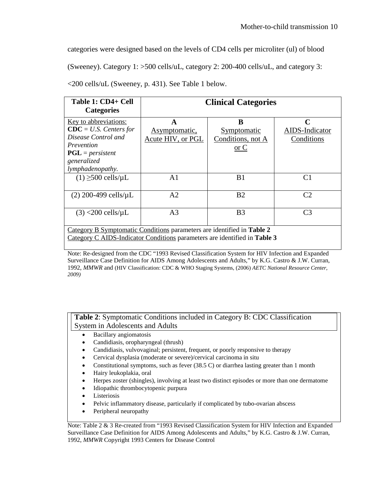categories were designed based on the levels of CD4 cells per microliter (ul) of blood

(Sweeney). Category 1: >500 cells/uL, category 2: 200-400 cells/uL, and category 3:

| Table 1: CD4+ Cell<br><b>Categories</b>                                                                                                                | <b>Clinical Categories</b>              |                                                     |                                                             |  |
|--------------------------------------------------------------------------------------------------------------------------------------------------------|-----------------------------------------|-----------------------------------------------------|-------------------------------------------------------------|--|
| Key to abbreviations:<br>$\text{CDC} = U.S.$ Centers for<br>Disease Control and<br>Prevention<br>$PGL = persistent$<br>generalized<br>lymphadenopathy. | A<br>Asymptomatic,<br>Acute HIV, or PGL | B<br>Symptomatic<br>Conditions, not A<br>$\sigma$ C | $\mathcal{C}_{\mathcal{C}}$<br>AIDS-Indicator<br>Conditions |  |
| $(1) \geq 500$ cells/µL                                                                                                                                | A1                                      | B <sub>1</sub>                                      | C <sub>1</sub>                                              |  |
| $(2)$ 200-499 cells/ $\mu$ L                                                                                                                           | A <sub>2</sub>                          | B <sub>2</sub>                                      | C <sub>2</sub>                                              |  |
| $(3)$ <200 cells/ $\mu$ L                                                                                                                              | A <sub>3</sub>                          | B <sub>3</sub>                                      | C <sub>3</sub>                                              |  |
| Category B Symptomatic Conditions parameters are identified in Table 2<br>Category C AIDS-Indicator Conditions parameters are identified in Table 3    |                                         |                                                     |                                                             |  |

<200 cells/uL (Sweeney, p. 431). See Table 1 below.

Note: Re-designed from the CDC "1993 Revised Classification System for HIV Infection and Expanded Surveillance Case Definition for AIDS Among Adolescents and Adults," by K.G. Castro & J.W. Curran, 1992, *MMWR* and (HIV Classification: CDC & WHO Staging Systems, (2006) *AETC National Resource Center, 2009)*

**Table 2**: Symptomatic Conditions included in Category B: CDC Classification System in Adolescents and Adults

- Bacillary angiomatosis
- Candidiasis, oropharyngeal (thrush)
- Candidiasis, vulvovaginal; persistent, frequent, or poorly responsive to therapy
- Cervical dysplasia (moderate or severe)/cervical carcinoma in situ
- Constitutional symptoms, such as fever (38.5 C) or diarrhea lasting greater than 1 month
- Hairy leukoplakia, oral
- Herpes zoster (shingles), involving at least two distinct episodes or more than one dermatome
- Idiopathic thrombocytopenic purpura
- **Listeriosis**
- Pelvic inflammatory disease, particularly if complicated by tubo-ovarian abscess
- Peripheral neuropathy

Note: Table 2 & 3 Re-created from "1993 Revised Classification System for HIV Infection and Expanded Surveillance Case Definition for AIDS Among Adolescents and Adults," by K.G. Castro & J.W. Curran, 1992, *MMWR* Copyright 1993 Centers for Disease Control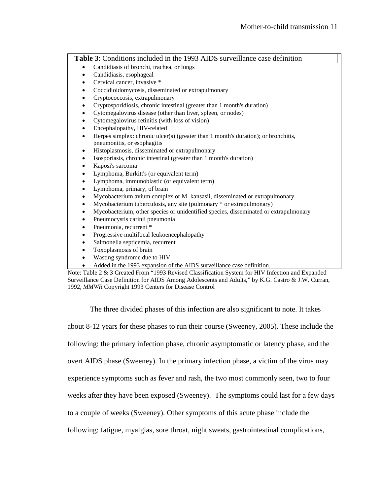**Table 3**: Conditions included in the 1993 AIDS surveillance case definition

- Candidiasis of bronchi, trachea, or lungs
- Candidiasis, esophageal
- Cervical cancer, invasive \*
- Coccidioidomycosis, disseminated or extrapulmonary
- Cryptococcosis, extrapulmonary
- Cryptosporidiosis, chronic intestinal (greater than 1 month's duration)
- Cytomegalovirus disease (other than liver, spleen, or nodes)
- Cytomegalovirus retinitis (with loss of vision)
- Encephalopathy, HIV-related
- Herpes simplex: chronic ulcer(s) (greater than 1 month's duration); or bronchitis, pneumonitis, or esophagitis
- Histoplasmosis, disseminated or extrapulmonary
- Isosporiasis, chronic intestinal (greater than 1 month's duration)
- Kaposi's sarcoma
- Lymphoma, Burkitt's (or equivalent term)
- Lymphoma, immunoblastic (or equivalent term)
- Lymphoma, primary, of brain
- Mycobacterium avium complex or M. kansasii, disseminated or extrapulmonary
- Mycobacterium tuberculosis, any site (pulmonary \* or extrapulmonary)
- Mycobacterium, other species or unidentified species, disseminated or extrapulmonary
- Pneumocystis carinii pneumonia
- Pneumonia, recurrent \*
- Progressive multifocal leukoencephalopathy
- Salmonella septicemia, recurrent
- Toxoplasmosis of brain
- Wasting syndrome due to HIV
- Added in the 1993 expansion of the AIDS surveillance case definition.

Note: Table 2 & 3 Created From "1993 Revised Classification System for HIV Infection and Expanded Surveillance Case Definition for AIDS Among Adolescents and Adults," by K.G. Castro & J.W. Curran, 1992, *MMWR* Copyright 1993 Centers for Disease Control

The three divided phases of this infection are also significant to note. It takes

about 8-12 years for these phases to run their course (Sweeney, 2005). These include the

following: the primary infection phase, chronic asymptomatic or latency phase, and the

overt AIDS phase (Sweeney). In the primary infection phase, a victim of the virus may

experience symptoms such as fever and rash, the two most commonly seen, two to four

weeks after they have been exposed (Sweeney). The symptoms could last for a few days

to a couple of weeks (Sweeney). Other symptoms of this acute phase include the

following: fatigue, myalgias, sore throat, night sweats, gastrointestinal complications,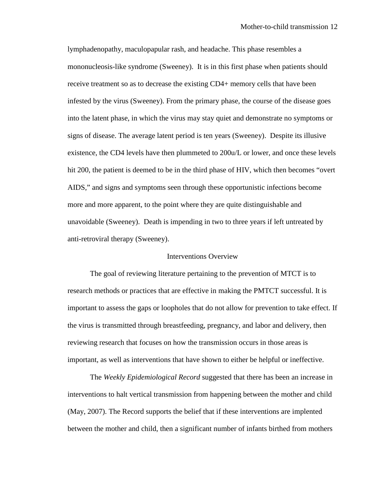lymphadenopathy, maculopapular rash, and headache. This phase resembles a mononucleosis-like syndrome (Sweeney). It is in this first phase when patients should receive treatment so as to decrease the existing CD4+ memory cells that have been infested by the virus (Sweeney). From the primary phase, the course of the disease goes into the latent phase, in which the virus may stay quiet and demonstrate no symptoms or signs of disease. The average latent period is ten years (Sweeney). Despite its illusive existence, the CD4 levels have then plummeted to 200u/L or lower, and once these levels hit 200, the patient is deemed to be in the third phase of HIV, which then becomes "overt AIDS," and signs and symptoms seen through these opportunistic infections become more and more apparent, to the point where they are quite distinguishable and unavoidable (Sweeney). Death is impending in two to three years if left untreated by anti-retroviral therapy (Sweeney).

### Interventions Overview

The goal of reviewing literature pertaining to the prevention of MTCT is to research methods or practices that are effective in making the PMTCT successful. It is important to assess the gaps or loopholes that do not allow for prevention to take effect. If the virus is transmitted through breastfeeding, pregnancy, and labor and delivery, then reviewing research that focuses on how the transmission occurs in those areas is important, as well as interventions that have shown to either be helpful or ineffective.

The *Weekly Epidemiological Record* suggested that there has been an increase in interventions to halt vertical transmission from happening between the mother and child (May, 2007). The Record supports the belief that if these interventions are implented between the mother and child, then a significant number of infants birthed from mothers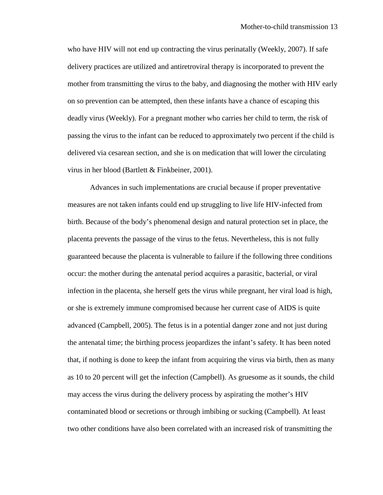who have HIV will not end up contracting the virus perinatally (Weekly, 2007). If safe delivery practices are utilized and antiretroviral therapy is incorporated to prevent the mother from transmitting the virus to the baby, and diagnosing the mother with HIV early on so prevention can be attempted, then these infants have a chance of escaping this deadly virus (Weekly). For a pregnant mother who carries her child to term, the risk of passing the virus to the infant can be reduced to approximately two percent if the child is delivered via cesarean section, and she is on medication that will lower the circulating virus in her blood (Bartlett & Finkbeiner, 2001).

Advances in such implementations are crucial because if proper preventative measures are not taken infants could end up struggling to live life HIV-infected from birth. Because of the body's phenomenal design and natural protection set in place, the placenta prevents the passage of the virus to the fetus. Nevertheless, this is not fully guaranteed because the placenta is vulnerable to failure if the following three conditions occur: the mother during the antenatal period acquires a parasitic, bacterial, or viral infection in the placenta, she herself gets the virus while pregnant, her viral load is high, or she is extremely immune compromised because her current case of AIDS is quite advanced (Campbell, 2005). The fetus is in a potential danger zone and not just during the antenatal time; the birthing process jeopardizes the infant's safety. It has been noted that, if nothing is done to keep the infant from acquiring the virus via birth, then as many as 10 to 20 percent will get the infection (Campbell). As gruesome as it sounds, the child may access the virus during the delivery process by aspirating the mother's HIV contaminated blood or secretions or through imbibing or sucking (Campbell). At least two other conditions have also been correlated with an increased risk of transmitting the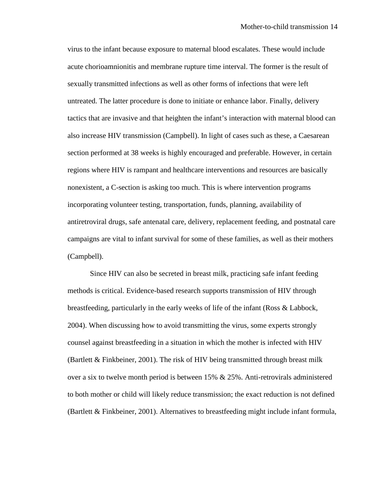virus to the infant because exposure to maternal blood escalates. These would include acute chorioamnionitis and membrane rupture time interval. The former is the result of sexually transmitted infections as well as other forms of infections that were left untreated. The latter procedure is done to initiate or enhance labor. Finally, delivery tactics that are invasive and that heighten the infant's interaction with maternal blood can also increase HIV transmission (Campbell). In light of cases such as these, a Caesarean section performed at 38 weeks is highly encouraged and preferable. However, in certain regions where HIV is rampant and healthcare interventions and resources are basically nonexistent, a C-section is asking too much. This is where intervention programs incorporating volunteer testing, transportation, funds, planning, availability of antiretroviral drugs, safe antenatal care, delivery, replacement feeding, and postnatal care campaigns are vital to infant survival for some of these families, as well as their mothers (Campbell).

Since HIV can also be secreted in breast milk, practicing safe infant feeding methods is critical. Evidence-based research supports transmission of HIV through breastfeeding, particularly in the early weeks of life of the infant (Ross & Labbock, 2004). When discussing how to avoid transmitting the virus, some experts strongly counsel against breastfeeding in a situation in which the mother is infected with HIV (Bartlett & Finkbeiner, 2001). The risk of HIV being transmitted through breast milk over a six to twelve month period is between  $15\% \& 25\%$ . Anti-retrovirals administered to both mother or child will likely reduce transmission; the exact reduction is not defined (Bartlett & Finkbeiner, 2001). Alternatives to breastfeeding might include infant formula,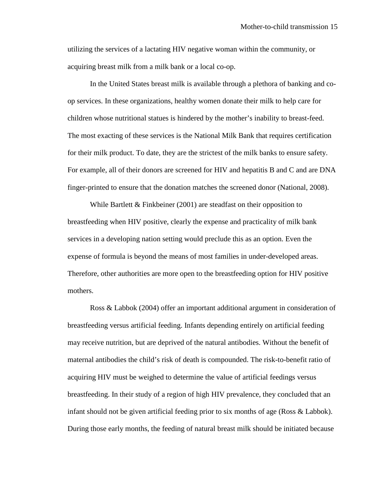utilizing the services of a lactating HIV negative woman within the community, or acquiring breast milk from a milk bank or a local co-op.

In the United States breast milk is available through a plethora of banking and coop services. In these organizations, healthy women donate their milk to help care for children whose nutritional statues is hindered by the mother's inability to breast-feed. The most exacting of these services is the National Milk Bank that requires certification for their milk product. To date, they are the strictest of the milk banks to ensure safety. For example, all of their donors are screened for HIV and hepatitis B and C and are DNA finger-printed to ensure that the donation matches the screened donor (National, 2008).

While Bartlett & Finkbeiner (2001) are steadfast on their opposition to breastfeeding when HIV positive, clearly the expense and practicality of milk bank services in a developing nation setting would preclude this as an option. Even the expense of formula is beyond the means of most families in under-developed areas. Therefore, other authorities are more open to the breastfeeding option for HIV positive mothers.

Ross & Labbok (2004) offer an important additional argument in consideration of breastfeeding versus artificial feeding. Infants depending entirely on artificial feeding may receive nutrition, but are deprived of the natural antibodies. Without the benefit of maternal antibodies the child's risk of death is compounded. The risk-to-benefit ratio of acquiring HIV must be weighed to determine the value of artificial feedings versus breastfeeding. In their study of a region of high HIV prevalence, they concluded that an infant should not be given artificial feeding prior to six months of age (Ross & Labbok). During those early months, the feeding of natural breast milk should be initiated because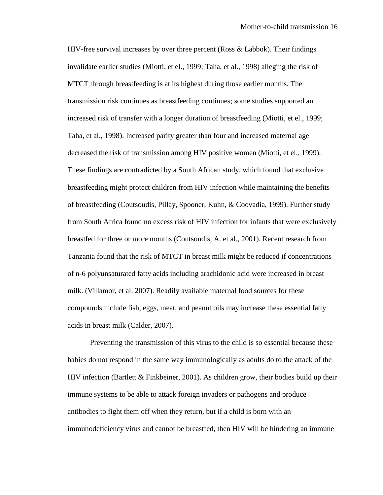HIV-free survival increases by over three percent (Ross & Labbok). Their findings invalidate earlier studies (Miotti, et el., 1999; Taha, et al., 1998) alleging the risk of MTCT through breastfeeding is at its highest during those earlier months. The transmission risk continues as breastfeeding continues; some studies supported an increased risk of transfer with a longer duration of breastfeeding (Miotti, et el., 1999; Taha, et al., 1998). Increased parity greater than four and increased maternal age decreased the risk of transmission among HIV positive women (Miotti, et el., 1999). These findings are contradicted by a South African study, which found that exclusive breastfeeding might protect children from HIV infection while maintaining the benefits of breastfeeding (Coutsoudis, Pillay, Spooner, Kuhn, & Coovadia, 1999). Further study from South Africa found no excess risk of HIV infection for infants that were exclusively breastfed for three or more months (Coutsoudis, A. et al., 2001). Recent research from Tanzania found that the risk of MTCT in breast milk might be reduced if concentrations of n-6 polyunsaturated fatty acids including arachidonic acid were increased in breast milk. (Villamor, et al. 2007). Readily available maternal food sources for these compounds include fish, eggs, meat, and peanut oils may increase these essential fatty acids in breast milk (Calder, 2007).

Preventing the transmission of this virus to the child is so essential because these babies do not respond in the same way immunologically as adults do to the attack of the HIV infection (Bartlett & Finkbeiner, 2001). As children grow, their bodies build up their immune systems to be able to attack foreign invaders or pathogens and produce antibodies to fight them off when they return, but if a child is born with an immunodeficiency virus and cannot be breastfed, then HIV will be hindering an immune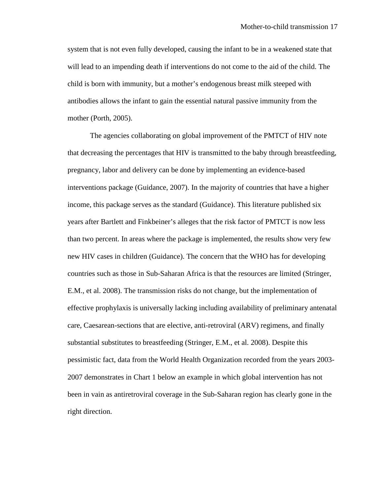system that is not even fully developed, causing the infant to be in a weakened state that will lead to an impending death if interventions do not come to the aid of the child. The child is born with immunity, but a mother's endogenous breast milk steeped with antibodies allows the infant to gain the essential natural passive immunity from the mother (Porth, 2005).

The agencies collaborating on global improvement of the PMTCT of HIV note that decreasing the percentages that HIV is transmitted to the baby through breastfeeding, pregnancy, labor and delivery can be done by implementing an evidence-based interventions package (Guidance, 2007). In the majority of countries that have a higher income, this package serves as the standard (Guidance). This literature published six years after Bartlett and Finkbeiner's alleges that the risk factor of PMTCT is now less than two percent. In areas where the package is implemented, the results show very few new HIV cases in children (Guidance). The concern that the WHO has for developing countries such as those in Sub-Saharan Africa is that the resources are limited (Stringer, E.M., et al. 2008). The transmission risks do not change, but the implementation of effective prophylaxis is universally lacking including availability of preliminary antenatal care, Caesarean-sections that are elective, anti-retroviral (ARV) regimens, and finally substantial substitutes to breastfeeding (Stringer, E.M., et al. 2008). Despite this pessimistic fact, data from the World Health Organization recorded from the years 2003- 2007 demonstrates in Chart 1 below an example in which global intervention has not been in vain as antiretroviral coverage in the Sub-Saharan region has clearly gone in the right direction.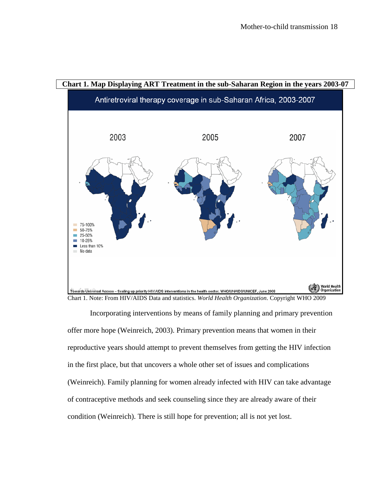

Incorporating interventions by means of family planning and primary prevention offer more hope (Weinreich, 2003). Primary prevention means that women in their reproductive years should attempt to prevent themselves from getting the HIV infection in the first place, but that uncovers a whole other set of issues and complications (Weinreich). Family planning for women already infected with HIV can take advantage of contraceptive methods and seek counseling since they are already aware of their condition (Weinreich). There is still hope for prevention; all is not yet lost.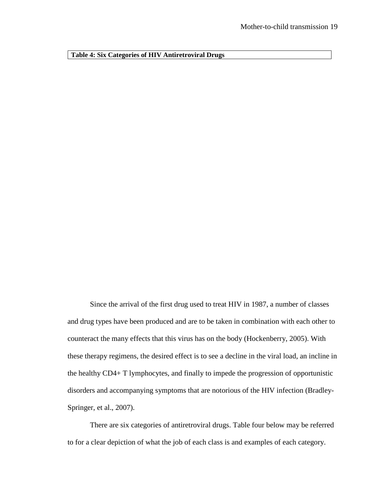**Table 4: Six Categories of HIV Antiretroviral Drugs** 

Since the arrival of the first drug used to treat HIV in 1987, a number of classes and drug types have been produced and are to be taken in combination with each other to counteract the many effects that this virus has on the body (Hockenberry, 2005). With these therapy regimens, the desired effect is to see a decline in the viral load, an incline in the healthy CD4+ T lymphocytes, and finally to impede the progression of opportunistic disorders and accompanying symptoms that are notorious of the HIV infection (Bradley-Springer, et al., 2007).

There are six categories of antiretroviral drugs. Table four below may be referred to for a clear depiction of what the job of each class is and examples of each category.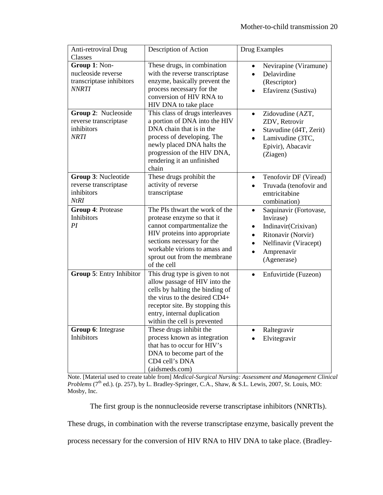| Anti-retroviral Drug                                                            | Description of Action                                                                                                                                                                                                                      | Drug Examples                                                                                                                                       |
|---------------------------------------------------------------------------------|--------------------------------------------------------------------------------------------------------------------------------------------------------------------------------------------------------------------------------------------|-----------------------------------------------------------------------------------------------------------------------------------------------------|
| Classes                                                                         |                                                                                                                                                                                                                                            |                                                                                                                                                     |
| Group 1: Non-<br>nucleoside reverse<br>transcriptase inhibitors<br><i>NNRTI</i> | These drugs, in combination<br>with the reverse transcriptase<br>enzyme, basically prevent the<br>process necessary for the<br>conversion of HIV RNA to<br>HIV DNA to take place                                                           | Nevirapine (Viramune)<br>Delavirdine<br>(Rescriptor)<br>Efavirenz (Sustiva)                                                                         |
| Group 2: Nucleoside<br>reverse transcriptase<br>inhibitors<br>NRTI              | This class of drugs interleaves<br>a portion of DNA into the HIV<br>DNA chain that is in the<br>process of developing. The<br>newly placed DNA halts the<br>progression of the HIV DNA,<br>rendering it an unfinished<br>chain             | Zidovudine (AZT,<br>$\bullet$<br>ZDV, Retrovir<br>Stavudine (d4T, Zerit)<br>Lamivudine (3TC,<br>Epivir), Abacavir<br>(Ziagen)                       |
| Group 3: Nucleotide<br>reverse transcriptase<br>inhibitors<br><b>NtRI</b>       | These drugs prohibit the<br>activity of reverse<br>transcriptase                                                                                                                                                                           | Tenofovir DF (Viread)<br>$\bullet$<br>Truvada (tenofovir and<br>emtricitabine<br>combination)                                                       |
| Group 4: Protease<br>Inhibitors<br>PI                                           | The PIs thwart the work of the<br>protease enzyme so that it<br>cannot compartmentalize the<br>HIV proteins into appropriate<br>sections necessary for the<br>workable virions to amass and<br>sprout out from the membrane<br>of the cell | Saquinavir (Fortovase,<br>$\bullet$<br>Invirase)<br>Indinavir(Crixivan)<br>Ritonavir (Norvir)<br>Nelfinavir (Viracept)<br>Amprenavir<br>(Agenerase) |
| Group 5: Entry Inhibitor                                                        | This drug type is given to not<br>allow passage of HIV into the<br>cells by halting the binding of<br>the virus to the desired CD4+<br>receptor site. By stopping this<br>entry, internal duplication<br>within the cell is prevented      | Enfuvirtide (Fuzeon)<br>$\bullet$                                                                                                                   |
| Group 6: Integrase<br>Inhibitors                                                | These drugs inhibit the<br>process known as integration<br>that has to occur for HIV's<br>DNA to become part of the<br>CD4 cell's DNA<br>(aidsmeds.com)                                                                                    | Raltegravir<br>Elvitegravir                                                                                                                         |

Note. [Material used to create table from] *Medical-Surgical Nursing: Assessment and Management Clinical Problems* (7<sup>th</sup> ed.). (p. 257), by L. Bradley-Springer, C.A., Shaw, & S.L. Lewis, 2007, St. Louis, MO: Mosby, Inc.

The first group is the nonnucleoside reverse transcriptase inhibitors (NNRTIs).

These drugs, in combination with the reverse transcriptase enzyme, basically prevent the

process necessary for the conversion of HIV RNA to HIV DNA to take place. (Bradley-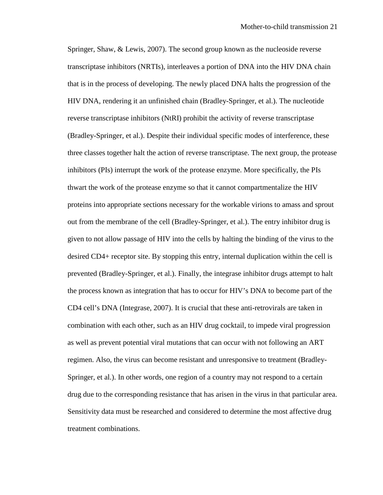Springer, Shaw, & Lewis, 2007). The second group known as the nucleoside reverse transcriptase inhibitors (NRTIs), interleaves a portion of DNA into the HIV DNA chain that is in the process of developing. The newly placed DNA halts the progression of the HIV DNA, rendering it an unfinished chain (Bradley-Springer, et al.). The nucleotide reverse transcriptase inhibitors (NtRI) prohibit the activity of reverse transcriptase (Bradley-Springer, et al.). Despite their individual specific modes of interference, these three classes together halt the action of reverse transcriptase. The next group, the protease inhibitors (PIs) interrupt the work of the protease enzyme. More specifically, the PIs thwart the work of the protease enzyme so that it cannot compartmentalize the HIV proteins into appropriate sections necessary for the workable virions to amass and sprout out from the membrane of the cell (Bradley-Springer, et al.). The entry inhibitor drug is given to not allow passage of HIV into the cells by halting the binding of the virus to the desired CD4+ receptor site. By stopping this entry, internal duplication within the cell is prevented (Bradley-Springer, et al.). Finally, the integrase inhibitor drugs attempt to halt the process known as integration that has to occur for HIV's DNA to become part of the CD4 cell's DNA (Integrase, 2007). It is crucial that these anti-retrovirals are taken in combination with each other, such as an HIV drug cocktail, to impede viral progression as well as prevent potential viral mutations that can occur with not following an ART regimen. Also, the virus can become resistant and unresponsive to treatment (Bradley-Springer, et al.). In other words, one region of a country may not respond to a certain drug due to the corresponding resistance that has arisen in the virus in that particular area. Sensitivity data must be researched and considered to determine the most affective drug treatment combinations.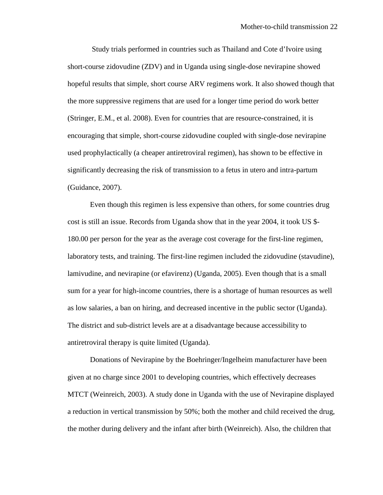Study trials performed in countries such as Thailand and Cote d'Ivoire using short-course zidovudine (ZDV) and in Uganda using single-dose nevirapine showed hopeful results that simple, short course ARV regimens work. It also showed though that the more suppressive regimens that are used for a longer time period do work better (Stringer, E.M., et al. 2008). Even for countries that are resource-constrained, it is encouraging that simple, short-course zidovudine coupled with single-dose nevirapine used prophylactically (a cheaper antiretroviral regimen), has shown to be effective in significantly decreasing the risk of transmission to a fetus in utero and intra-partum (Guidance, 2007).

Even though this regimen is less expensive than others, for some countries drug cost is still an issue. Records from Uganda show that in the year 2004, it took US \$- 180.00 per person for the year as the average cost coverage for the first-line regimen, laboratory tests, and training. The first-line regimen included the zidovudine (stavudine), lamivudine, and nevirapine (or efavirenz) (Uganda, 2005). Even though that is a small sum for a year for high-income countries, there is a shortage of human resources as well as low salaries, a ban on hiring, and decreased incentive in the public sector (Uganda). The district and sub-district levels are at a disadvantage because accessibility to antiretroviral therapy is quite limited (Uganda).

Donations of Nevirapine by the Boehringer/Ingelheim manufacturer have been given at no charge since 2001 to developing countries, which effectively decreases MTCT (Weinreich, 2003). A study done in Uganda with the use of Nevirapine displayed a reduction in vertical transmission by 50%; both the mother and child received the drug, the mother during delivery and the infant after birth (Weinreich). Also, the children that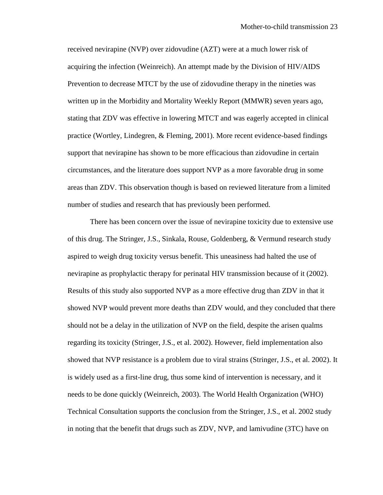received nevirapine (NVP) over zidovudine (AZT) were at a much lower risk of acquiring the infection (Weinreich). An attempt made by the Division of HIV/AIDS Prevention to decrease MTCT by the use of zidovudine therapy in the nineties was written up in the Morbidity and Mortality Weekly Report (MMWR) seven years ago, stating that ZDV was effective in lowering MTCT and was eagerly accepted in clinical practice (Wortley, Lindegren, & Fleming, 2001). More recent evidence-based findings support that nevirapine has shown to be more efficacious than zidovudine in certain circumstances, and the literature does support NVP as a more favorable drug in some areas than ZDV. This observation though is based on reviewed literature from a limited number of studies and research that has previously been performed.

There has been concern over the issue of nevirapine toxicity due to extensive use of this drug. The Stringer, J.S., Sinkala, Rouse, Goldenberg, & Vermund research study aspired to weigh drug toxicity versus benefit. This uneasiness had halted the use of nevirapine as prophylactic therapy for perinatal HIV transmission because of it (2002). Results of this study also supported NVP as a more effective drug than ZDV in that it showed NVP would prevent more deaths than ZDV would, and they concluded that there should not be a delay in the utilization of NVP on the field, despite the arisen qualms regarding its toxicity (Stringer, J.S., et al. 2002). However, field implementation also showed that NVP resistance is a problem due to viral strains (Stringer, J.S., et al. 2002). It is widely used as a first-line drug, thus some kind of intervention is necessary, and it needs to be done quickly (Weinreich, 2003). The World Health Organization (WHO) Technical Consultation supports the conclusion from the Stringer, J.S., et al. 2002 study in noting that the benefit that drugs such as ZDV, NVP, and lamivudine (3TC) have on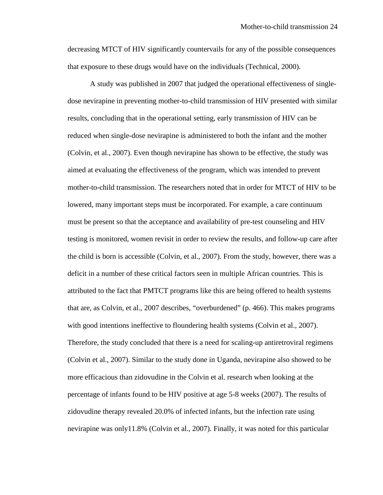decreasing MTCT of HIV significantly countervails for any of the possible consequences that exposure to these drugs would have on the individuals (Technical, 2000).

A study was published in 2007 that judged the operational effectiveness of singledose nevirapine in preventing mother-to-child transmission of HIV presented with similar results, concluding that in the operational setting, early transmission of HIV can be reduced when single-dose nevirapine is administered to both the infant and the mother (Colvin, et al., 2007). Even though nevirapine has shown to be effective, the study was aimed at evaluating the effectiveness of the program, which was intended to prevent mother-to-child transmission. The researchers noted that in order for MTCT of HIV to be lowered, many important steps must be incorporated. For example, a care continuum must be present so that the acceptance and availability of pre-test counseling and HIV testing is monitored, women revisit in order to review the results, and follow-up care after the child is born is accessible (Colvin, et al., 2007). From the study, however, there was a deficit in a number of these critical factors seen in multiple African countries. This is attributed to the fact that PMTCT programs like this are being offered to health systems that are, as Colvin, et al., 2007 describes, "overburdened" (p. 466). This makes programs with good intentions ineffective to floundering health systems (Colvin et al., 2007). Therefore, the study concluded that there is a need for scaling-up antiretroviral regimens (Colvin et al., 2007). Similar to the study done in Uganda, nevirapine also showed to be more efficacious than zidovudine in the Colvin et al. research when looking at the percentage of infants found to be HIV positive at age 5-8 weeks (2007). The results of zidovudine therapy revealed 20.0% of infected infants, but the infection rate using nevirapine was only11.8% (Colvin et al., 2007). Finally, it was noted for this particular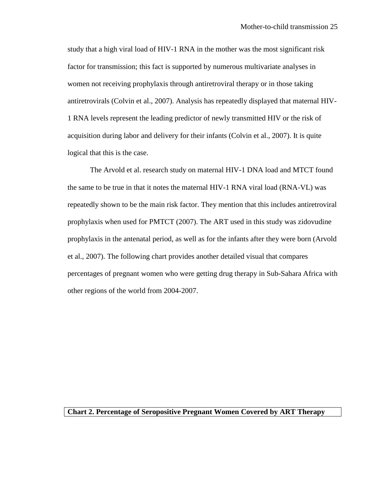study that a high viral load of HIV-1 RNA in the mother was the most significant risk factor for transmission; this fact is supported by numerous multivariate analyses in women not receiving prophylaxis through antiretroviral therapy or in those taking antiretrovirals (Colvin et al., 2007). Analysis has repeatedly displayed that maternal HIV-1 RNA levels represent the leading predictor of newly transmitted HIV or the risk of acquisition during labor and delivery for their infants (Colvin et al., 2007). It is quite logical that this is the case.

The Arvold et al. research study on maternal HIV-1 DNA load and MTCT found the same to be true in that it notes the maternal HIV-1 RNA viral load (RNA-VL) was repeatedly shown to be the main risk factor. They mention that this includes antiretroviral prophylaxis when used for PMTCT (2007). The ART used in this study was zidovudine prophylaxis in the antenatal period, as well as for the infants after they were born (Arvold et al., 2007). The following chart provides another detailed visual that compares percentages of pregnant women who were getting drug therapy in Sub-Sahara Africa with other regions of the world from 2004-2007.

## **Chart 2. Percentage of Seropositive Pregnant Women Covered by ART Therapy**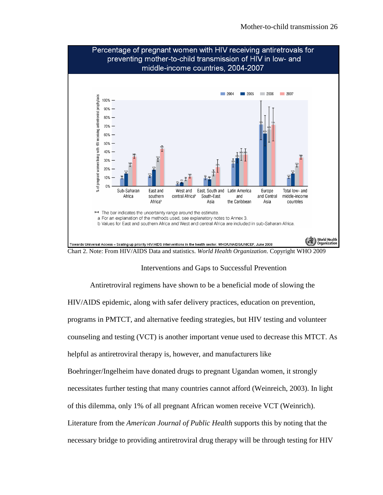

Interventions and Gaps to Successful Prevention

Antiretroviral regimens have shown to be a beneficial mode of slowing the HIV/AIDS epidemic, along with safer delivery practices, education on prevention, programs in PMTCT, and alternative feeding strategies, but HIV testing and volunteer counseling and testing (VCT) is another important venue used to decrease this MTCT. As helpful as antiretroviral therapy is, however, and manufacturers like Boehringer/Ingelheim have donated drugs to pregnant Ugandan women, it strongly necessitates further testing that many countries cannot afford (Weinreich, 2003). In light of this dilemma, only 1% of all pregnant African women receive VCT (Weinrich). Literature from the *American Journal of Public Health* supports this by noting that the necessary bridge to providing antiretroviral drug therapy will be through testing for HIV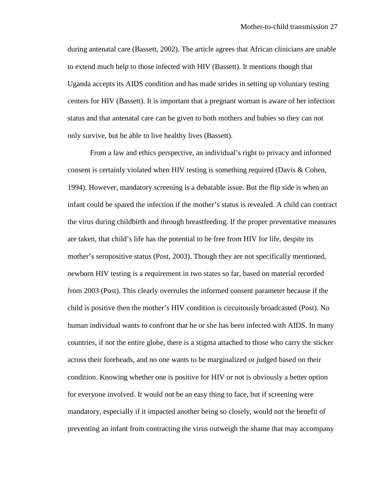during antenatal care (Bassett, 2002). The article agrees that African clinicians are unable to extend much help to those infected with HIV (Bassett). It mentions though that Uganda accepts its AIDS condition and has made strides in setting up voluntary testing centers for HIV (Bassett). It is important that a pregnant woman is aware of her infection status and that antenatal care can be given to both mothers and babies so they can not only survive, but be able to live healthy lives (Bassett).

From a law and ethics perspective, an individual's right to privacy and informed consent is certainly violated when HIV testing is something required (Davis & Cohen, 1994). However, mandatory screening is a debatable issue. But the flip side is when an infant could be spared the infection if the mother's status is revealed. A child can contract the virus during childbirth and through breastfeeding. If the proper preventative measures are taken, that child's life has the potential to be free from HIV for life, despite its mother's seropositive status (Post, 2003). Though they are not specifically mentioned, newborn HIV testing is a requirement in two states so far, based on material recorded from 2003 (Post). This clearly overrules the informed consent parameter because if the child is positive then the mother's HIV condition is circuitously broadcasted (Post). No human individual wants to confront that he or she has been infected with AIDS. In many countries, if not the entire globe, there is a stigma attached to those who carry the sticker across their foreheads, and no one wants to be marginalized or judged based on their condition. Knowing whether one is positive for HIV or not is obviously a better option for everyone involved. It would not be an easy thing to face, but if screening were mandatory, especially if it impacted another being so closely, would not the benefit of preventing an infant from contracting the virus outweigh the shame that may accompany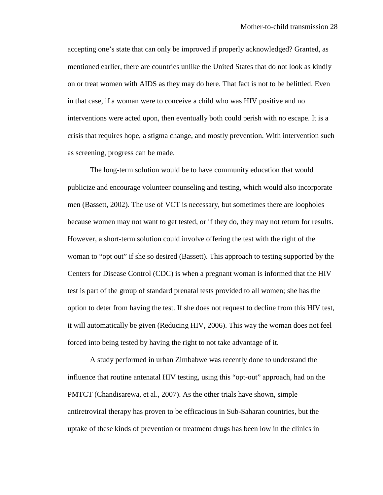accepting one's state that can only be improved if properly acknowledged? Granted, as mentioned earlier, there are countries unlike the United States that do not look as kindly on or treat women with AIDS as they may do here. That fact is not to be belittled. Even in that case, if a woman were to conceive a child who was HIV positive and no interventions were acted upon, then eventually both could perish with no escape. It is a crisis that requires hope, a stigma change, and mostly prevention. With intervention such as screening, progress can be made.

The long-term solution would be to have community education that would publicize and encourage volunteer counseling and testing, which would also incorporate men (Bassett, 2002). The use of VCT is necessary, but sometimes there are loopholes because women may not want to get tested, or if they do, they may not return for results. However, a short-term solution could involve offering the test with the right of the woman to "opt out" if she so desired (Bassett). This approach to testing supported by the Centers for Disease Control (CDC) is when a pregnant woman is informed that the HIV test is part of the group of standard prenatal tests provided to all women; she has the option to deter from having the test. If she does not request to decline from this HIV test, it will automatically be given (Reducing HIV, 2006). This way the woman does not feel forced into being tested by having the right to not take advantage of it.

A study performed in urban Zimbabwe was recently done to understand the influence that routine antenatal HIV testing, using this "opt-out" approach, had on the PMTCT (Chandisarewa, et al., 2007). As the other trials have shown, simple antiretroviral therapy has proven to be efficacious in Sub-Saharan countries, but the uptake of these kinds of prevention or treatment drugs has been low in the clinics in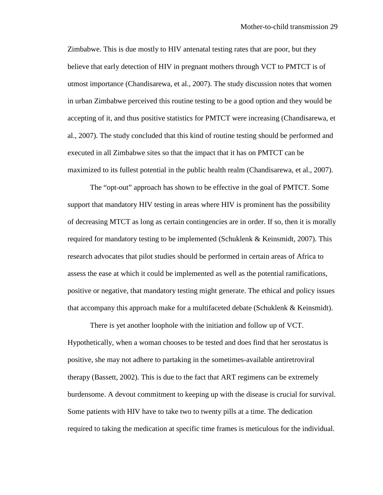Zimbabwe. This is due mostly to HIV antenatal testing rates that are poor, but they believe that early detection of HIV in pregnant mothers through VCT to PMTCT is of utmost importance (Chandisarewa, et al., 2007). The study discussion notes that women in urban Zimbabwe perceived this routine testing to be a good option and they would be accepting of it, and thus positive statistics for PMTCT were increasing (Chandisarewa, et al., 2007). The study concluded that this kind of routine testing should be performed and executed in all Zimbabwe sites so that the impact that it has on PMTCT can be maximized to its fullest potential in the public health realm (Chandisarewa, et al., 2007).

The "opt-out" approach has shown to be effective in the goal of PMTCT. Some support that mandatory HIV testing in areas where HIV is prominent has the possibility of decreasing MTCT as long as certain contingencies are in order. If so, then it is morally required for mandatory testing to be implemented (Schuklenk & Keinsmidt, 2007). This research advocates that pilot studies should be performed in certain areas of Africa to assess the ease at which it could be implemented as well as the potential ramifications, positive or negative, that mandatory testing might generate. The ethical and policy issues that accompany this approach make for a multifaceted debate (Schuklenk & Keinsmidt).

There is yet another loophole with the initiation and follow up of VCT. Hypothetically, when a woman chooses to be tested and does find that her serostatus is positive, she may not adhere to partaking in the sometimes-available antiretroviral therapy (Bassett, 2002). This is due to the fact that ART regimens can be extremely burdensome. A devout commitment to keeping up with the disease is crucial for survival. Some patients with HIV have to take two to twenty pills at a time. The dedication required to taking the medication at specific time frames is meticulous for the individual.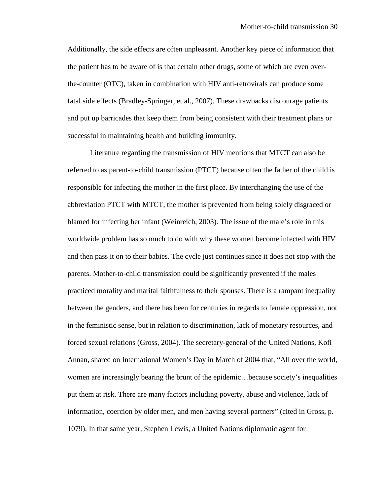Additionally, the side effects are often unpleasant. Another key piece of information that the patient has to be aware of is that certain other drugs, some of which are even overthe-counter (OTC), taken in combination with HIV anti-retrovirals can produce some fatal side effects (Bradley-Springer, et al., 2007). These drawbacks discourage patients and put up barricades that keep them from being consistent with their treatment plans or successful in maintaining health and building immunity.

Literature regarding the transmission of HIV mentions that MTCT can also be referred to as parent-to-child transmission (PTCT) because often the father of the child is responsible for infecting the mother in the first place. By interchanging the use of the abbreviation PTCT with MTCT, the mother is prevented from being solely disgraced or blamed for infecting her infant (Weinreich, 2003). The issue of the male's role in this worldwide problem has so much to do with why these women become infected with HIV and then pass it on to their babies. The cycle just continues since it does not stop with the parents. Mother-to-child transmission could be significantly prevented if the males practiced morality and marital faithfulness to their spouses. There is a rampant inequality between the genders, and there has been for centuries in regards to female oppression, not in the feministic sense, but in relation to discrimination, lack of monetary resources, and forced sexual relations (Gross, 2004). The secretary-general of the United Nations, Kofi Annan, shared on International Women's Day in March of 2004 that, "All over the world, women are increasingly bearing the brunt of the epidemic…because society's inequalities put them at risk. There are many factors including poverty, abuse and violence, lack of information, coercion by older men, and men having several partners" (cited in Gross, p. 1079). In that same year, Stephen Lewis, a United Nations diplomatic agent for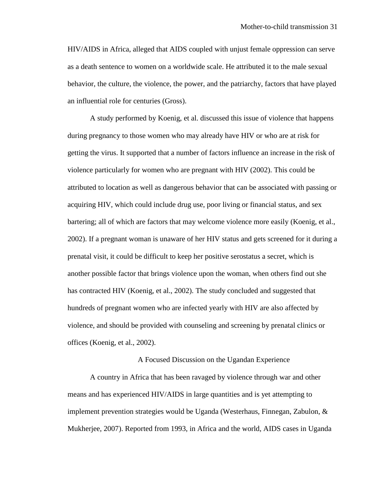HIV/AIDS in Africa, alleged that AIDS coupled with unjust female oppression can serve as a death sentence to women on a worldwide scale. He attributed it to the male sexual behavior, the culture, the violence, the power, and the patriarchy, factors that have played an influential role for centuries (Gross).

A study performed by Koenig, et al. discussed this issue of violence that happens during pregnancy to those women who may already have HIV or who are at risk for getting the virus. It supported that a number of factors influence an increase in the risk of violence particularly for women who are pregnant with HIV (2002). This could be attributed to location as well as dangerous behavior that can be associated with passing or acquiring HIV, which could include drug use, poor living or financial status, and sex bartering; all of which are factors that may welcome violence more easily (Koenig, et al., 2002). If a pregnant woman is unaware of her HIV status and gets screened for it during a prenatal visit, it could be difficult to keep her positive serostatus a secret, which is another possible factor that brings violence upon the woman, when others find out she has contracted HIV (Koenig, et al., 2002). The study concluded and suggested that hundreds of pregnant women who are infected yearly with HIV are also affected by violence, and should be provided with counseling and screening by prenatal clinics or offices (Koenig, et al., 2002).

#### A Focused Discussion on the Ugandan Experience

A country in Africa that has been ravaged by violence through war and other means and has experienced HIV/AIDS in large quantities and is yet attempting to implement prevention strategies would be Uganda (Westerhaus, Finnegan, Zabulon, & Mukherjee, 2007). Reported from 1993, in Africa and the world, AIDS cases in Uganda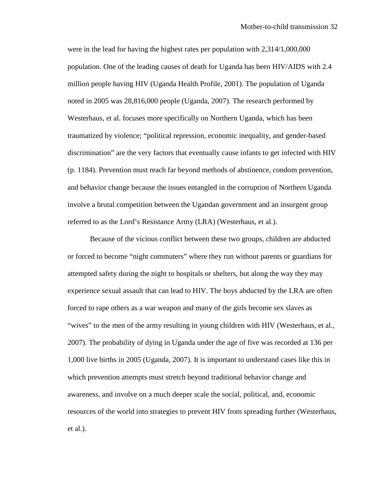were in the lead for having the highest rates per population with 2,314/1,000,000 population. One of the leading causes of death for Uganda has been HIV/AIDS with 2.4 million people having HIV (Uganda Health Profile, 2001). The population of Uganda noted in 2005 was 28,816,000 people (Uganda, 2007). The research performed by Westerhaus, et al. focuses more specifically on Northern Uganda, which has been traumatized by violence; "political repression, economic inequality, and gender-based discrimination" are the very factors that eventually cause infants to get infected with HIV (p. 1184). Prevention must reach far beyond methods of abstinence, condom prevention, and behavior change because the issues entangled in the corruption of Northern Uganda involve a brutal competition between the Ugandan government and an insurgent group referred to as the Lord's Resistance Army (LRA) (Westerhaus, et al.).

Because of the vicious conflict between these two groups, children are abducted or forced to become "night commuters" where they run without parents or guardians for attempted safety during the night to hospitals or shelters, but along the way they may experience sexual assault that can lead to HIV. The boys abducted by the LRA are often forced to rape others as a war weapon and many of the girls become sex slaves as "wives" to the men of the army resulting in young children with HIV (Westerhaus, et al., 2007). The probability of dying in Uganda under the age of five was recorded at 136 per 1,000 live births in 2005 (Uganda, 2007). It is important to understand cases like this in which prevention attempts must stretch beyond traditional behavior change and awareness, and involve on a much deeper scale the social, political, and, economic resources of the world into strategies to prevent HIV from spreading further (Westerhaus, et al.).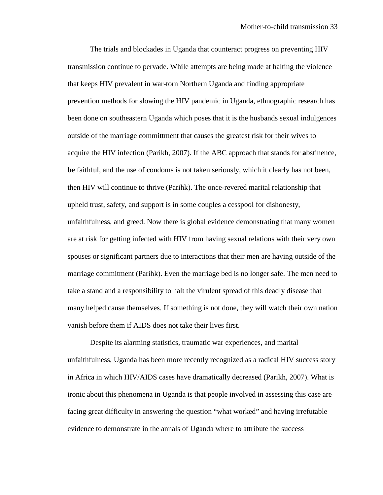The trials and blockades in Uganda that counteract progress on preventing HIV transmission continue to pervade. While attempts are being made at halting the violence that keeps HIV prevalent in war-torn Northern Uganda and finding appropriate prevention methods for slowing the HIV pandemic in Uganda, ethnographic research has been done on southeastern Uganda which poses that it is the husbands sexual indulgences outside of the marriage committment that causes the greatest risk for their wives to acquire the HIV infection (Parikh, 2007). If the ABC approach that stands for **a**bstinence, **b**e faithful, and the use of **c**ondoms is not taken seriously, which it clearly has not been, then HIV will continue to thrive (Parihk). The once-revered marital relationship that upheld trust, safety, and support is in some couples a cesspool for dishonesty, unfaithfulness, and greed. Now there is global evidence demonstrating that many women are at risk for getting infected with HIV from having sexual relations with their very own spouses or significant partners due to interactions that their men are having outside of the marriage commitment (Parihk). Even the marriage bed is no longer safe. The men need to take a stand and a responsibility to halt the virulent spread of this deadly disease that many helped cause themselves. If something is not done, they will watch their own nation vanish before them if AIDS does not take their lives first.

Despite its alarming statistics, traumatic war experiences, and marital unfaithfulness, Uganda has been more recently recognized as a radical HIV success story in Africa in which HIV/AIDS cases have dramatically decreased (Parikh, 2007). What is ironic about this phenomena in Uganda is that people involved in assessing this case are facing great difficulty in answering the question "what worked" and having irrefutable evidence to demonstrate in the annals of Uganda where to attribute the success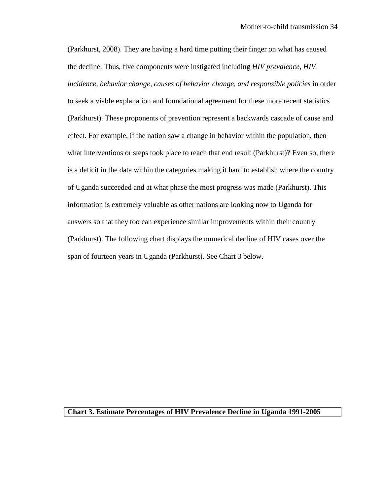(Parkhurst, 2008). They are having a hard time putting their finger on what has caused the decline. Thus, five components were instigated including *HIV prevalence, HIV incidence, behavior change, causes of behavior change, and responsible policies* in order to seek a viable explanation and foundational agreement for these more recent statistics (Parkhurst). These proponents of prevention represent a backwards cascade of cause and effect. For example, if the nation saw a change in behavior within the population, then what interventions or steps took place to reach that end result (Parkhurst)? Even so, there is a deficit in the data within the categories making it hard to establish where the country of Uganda succeeded and at what phase the most progress was made (Parkhurst). This information is extremely valuable as other nations are looking now to Uganda for answers so that they too can experience similar improvements within their country (Parkhurst). The following chart displays the numerical decline of HIV cases over the span of fourteen years in Uganda (Parkhurst). See Chart 3 below.

### **Chart 3. Estimate Percentages of HIV Prevalence Decline in Uganda 1991-2005**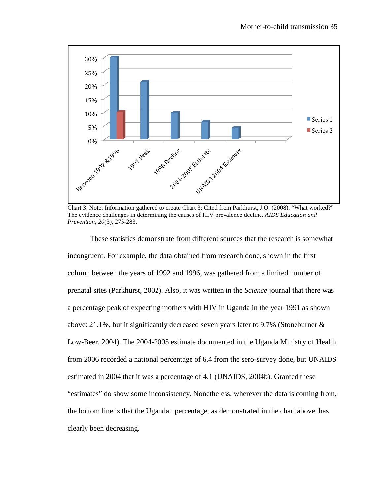

Chart 3. Note: Information gathered to create Chart 3: Cited from Parkhurst, J.O. (2008). "What worked?" The evidence challenges in determining the causes of HIV prevalence decline. *AIDS Education and Prevention, 20*(3), 275-283.

These statistics demonstrate from different sources that the research is somewhat incongruent. For example, the data obtained from research done, shown in the first column between the years of 1992 and 1996, was gathered from a limited number of prenatal sites (Parkhurst, 2002). Also, it was written in the *Science* journal that there was a percentage peak of expecting mothers with HIV in Uganda in the year 1991 as shown above: 21.1%, but it significantly decreased seven years later to 9.7% (Stoneburner & Low-Beer, 2004). The 2004-2005 estimate documented in the Uganda Ministry of Health from 2006 recorded a national percentage of 6.4 from the sero-survey done, but UNAIDS estimated in 2004 that it was a percentage of 4.1 (UNAIDS, 2004b). Granted these "estimates" do show some inconsistency. Nonetheless, wherever the data is coming from, the bottom line is that the Ugandan percentage, as demonstrated in the chart above, has clearly been decreasing.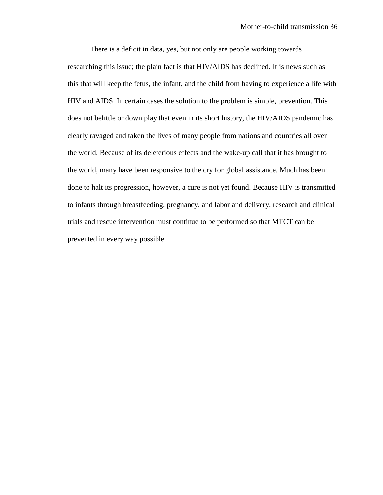There is a deficit in data, yes, but not only are people working towards researching this issue; the plain fact is that HIV/AIDS has declined. It is news such as this that will keep the fetus, the infant, and the child from having to experience a life with HIV and AIDS. In certain cases the solution to the problem is simple, prevention. This does not belittle or down play that even in its short history, the HIV/AIDS pandemic has clearly ravaged and taken the lives of many people from nations and countries all over the world. Because of its deleterious effects and the wake-up call that it has brought to the world, many have been responsive to the cry for global assistance. Much has been done to halt its progression, however, a cure is not yet found. Because HIV is transmitted to infants through breastfeeding, pregnancy, and labor and delivery, research and clinical trials and rescue intervention must continue to be performed so that MTCT can be prevented in every way possible.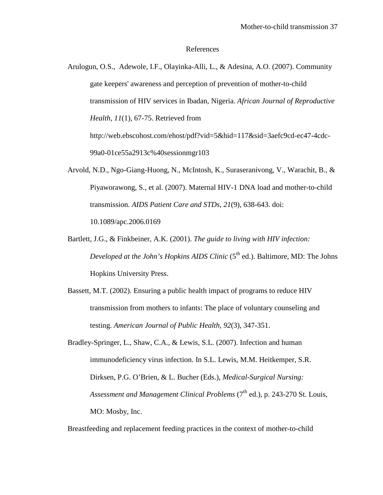#### References

- Arulogun, O.S., Adewole, I.F., Olayinka-Alli, L., & Adesina, A.O. (2007). Community gate keepers' awareness and perception of prevention of mother-to-child transmission of HIV services in Ibadan, Nigeria. *African Journal of Reproductive Health, 11*(1), 67-75. Retrieved from http://web.ebscohost.com/ehost/pdf?vid=5&hid=117&sid=3aefc9cd-ec47-4cdc-99a0-01ce55a2913c%40sessionmgr103
- Arvold, N.D., Ngo-Giang-Huong, N., McIntosh, K., Suraseranivong, V., Warachit, B., & Piyaworawong, S., et al. (2007). Maternal HIV-1 DNA load and mother-to-child transmission. *AIDS Patient Care and STDs, 21*(9), 638-643. doi: 10.1089/apc.2006.0169
- Bartlett, J.G., & Finkbeiner, A.K. (2001). *The guide to living with HIV infection: Developed at the John's Hopkins AIDS Clinic* (5<sup>th</sup> ed.). Baltimore, MD: The Johns Hopkins University Press.
- Bassett, M.T. (2002). Ensuring a public health impact of programs to reduce HIV transmission from mothers to infants: The place of voluntary counseling and testing. *American Journal of Public Health, 92*(3), 347-351.
- Bradley-Springer, L., Shaw, C.A., & Lewis, S.L. (2007). Infection and human immunodeficiency virus infection. In S.L. Lewis, M.M. Heitkemper, S.R. Dirksen, P.G. O'Brien, & L. Bucher (Eds.), *Medical-Surgical Nursing: Assessment and Management Clinical Problems* (7<sup>th</sup> ed.), p. 243-270 St. Louis, MO: Mosby, Inc.

Breastfeeding and replacement feeding practices in the context of mother-to-child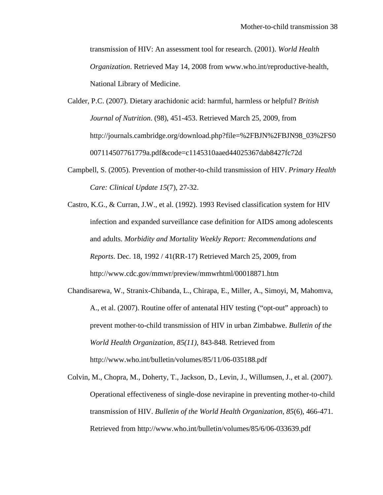transmission of HIV: An assessment tool for research. (2001). *World Health Organization*. Retrieved May 14, 2008 from www.who.int/reproductive-health, National Library of Medicine.

- Calder, P.C. (2007). Dietary arachidonic acid: harmful, harmless or helpful? *British Journal of Nutrition*. (98), 451-453. Retrieved March 25, 2009, from http://journals.cambridge.org/download.php?file=%2FBJN%2FBJN98\_03%2FS0 007114507761779a.pdf&code=c1145310aaed44025367dab8427fc72d
- Campbell, S. (2005). Prevention of mother-to-child transmission of HIV. *Primary Health Care: Clinical Update 15*(7), 27-32.
- Castro, K.G., & Curran, J.W., et al. (1992). 1993 Revised classification system for HIV infection and expanded surveillance case definition for AIDS among adolescents and adults. *Morbidity and Mortality Weekly Report: Recommendations and Reports*. Dec. 18, 1992 / 41(RR-17) Retrieved March 25, 2009, from http://www.cdc.gov/mmwr/preview/mmwrhtml/00018871.htm
- Chandisarewa, W., Stranix-Chibanda, L., Chirapa, E., Miller, A., Simoyi, M, Mahomva, A., et al. (2007). Routine offer of antenatal HIV testing ("opt-out" approach) to prevent mother-to-child transmission of HIV in urban Zimbabwe. *Bulletin of the World Health Organization, 85(11),* 843-848*.* Retrieved from http://www.who.int/bulletin/volumes/85/11/06-035188.pdf
- Colvin, M., Chopra, M., Doherty, T., Jackson, D., Levin, J., Willumsen, J., et al. (2007). Operational effectiveness of single-dose nevirapine in preventing mother-to-child transmission of HIV. *Bulletin of the World Health Organization, 85*(6), 466-471. Retrieved from http://www.who.int/bulletin/volumes/85/6/06-033639.pdf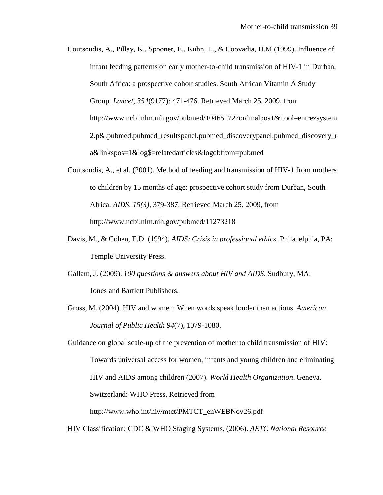Coutsoudis, A., Pillay, K., Spooner, E., Kuhn, L., & Coovadia, H.M (1999). Influence of infant feeding patterns on early mother-to-child transmission of HIV-1 in Durban, South Africa: a prospective cohort studies. South African Vitamin A Study Group. *Lancet, 354*(9177): 471-476. Retrieved March 25, 2009, from http://www.ncbi.nlm.nih.gov/pubmed/10465172?ordinalpos1&itool=entrezsystem 2.p&.pubmed.pubmed\_resultspanel.pubmed\_discoverypanel.pubmed\_discovery\_r a&linkspos=1&log\$=relatedarticles&logdbfrom=pubmed

- Coutsoudis, A., et al. (2001). Method of feeding and transmission of HIV-1 from mothers to children by 15 months of age: prospective cohort study from Durban, South Africa. *AIDS, 15(3)*, 379-387. Retrieved March 25, 2009, from http://www.ncbi.nlm.nih.gov/pubmed/11273218
- Davis, M., & Cohen, E.D. (1994). *AIDS: Crisis in professional ethics*. Philadelphia, PA: Temple University Press.
- Gallant, J. (2009). *100 questions & answers about HIV and AIDS*. Sudbury, MA: Jones and Bartlett Publishers.
- Gross, M. (2004). HIV and women: When words speak louder than actions. *American Journal of Public Health 94*(7), 1079-1080.

Guidance on global scale-up of the prevention of mother to child transmission of HIV: Towards universal access for women, infants and young children and eliminating HIV and AIDS among children (2007). *World Health Organization*. Geneva, Switzerland: WHO Press, Retrieved from http://www.who.int/hiv/mtct/PMTCT\_enWEBNov26.pdf

HIV Classification: CDC & WHO Staging Systems, (2006). *AETC National Resource*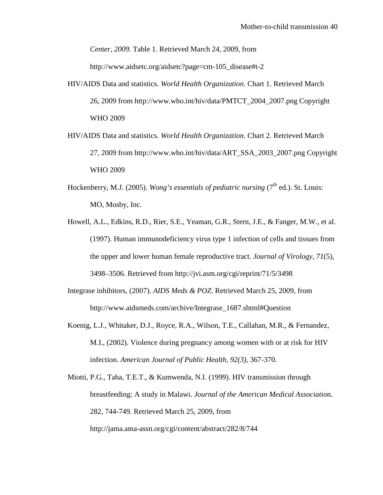*Center, 2009.* Table 1. Retrieved March 24, 2009, from

http://www.aidsetc.org/aidsetc?page=cm-105\_disease#t-2

- HIV/AIDS Data and statistics. *World Health Organization*. Chart 1. Retrieved March 26, 2009 from http://www.who.int/hiv/data/PMTCT\_2004\_2007.png Copyright WHO 2009
- HIV/AIDS Data and statistics. *World Health Organization*. Chart 2. Retrieved March 27, 2009 from http://www.who.int/hiv/data/ART\_SSA\_2003\_2007.png Copyright WHO 2009
- Hockenberry, M.J. (2005). *Wong's essentials of pediatric nursing* (7<sup>th</sup> ed.). St. Louis: MO, Mosby, Inc.
- Howell, A.L., Edkins, R.D., Rier, S.E., Yeaman, G.R., Stern, J.E., & Fanger, M.W., et al. (1997). Human immunodeficiency virus type 1 infection of cells and tissues from the upper and lower human female reproductive tract. *Journal of Virology, 71*(5), 3498–3506. Retrieved from http://jvi.asm.org/cgi/reprint/71/5/3498
- Integrase inhibitors, (2007). *AIDS Meds & POZ*. Retrieved March 25, 2009, from http://www.aidsmeds.com/archive/Integrase\_1687.shtml#Question
- Koenig, L.J., Whitaker, D.J., Royce, R.A., Wilson, T.E., Callahan, M.R., & Fernandez, M.I., (2002). Violence during pregnancy among women with or at risk for HIV infection. *American Journal of Public Health, 92(3),* 367-370.

Miotti, P.G., Taha, T.E.T., & Kumwenda, N.I. (1999). HIV transmission through breastfeeding: A study in Malawi. *Journal of the American Medical Associatio*n. 282, 744-749. Retrieved March 25, 2009, from http://jama.ama-assn.org/cgi/content/abstract/282/8/744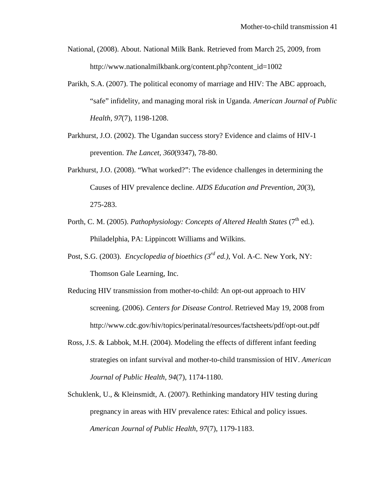- National, (2008). About. National Milk Bank. Retrieved from March 25, 2009, from http://www.nationalmilkbank.org/content.php?content\_id=1002
- Parikh, S.A. (2007). The political economy of marriage and HIV: The ABC approach, "safe" infidelity, and managing moral risk in Uganda. *American Journal of Public Health, 97*(7), 1198-1208.
- Parkhurst, J.O. (2002). The Ugandan success story? Evidence and claims of HIV-1 prevention. *The Lancet, 360*(9347), 78-80.
- Parkhurst, J.O. (2008). "What worked?": The evidence challenges in determining the Causes of HIV prevalence decline. *AIDS Education and Prevention, 20*(3), 275-283.
- Porth, C. M. (2005). *Pathophysiology: Concepts of Altered Health States* (7<sup>th</sup> ed.). Philadelphia, PA: Lippincott Williams and Wilkins.
- Post, S.G. (2003). *Encyclopedia of bioethics (3rd ed.)*, Vol. A-C. New York, NY: Thomson Gale Learning, Inc.
- Reducing HIV transmission from mother-to-child: An opt-out approach to HIV screening. (2006). *Centers for Disease Control*. Retrieved May 19, 2008 from http://www.cdc.gov/hiv/topics/perinatal/resources/factsheets/pdf/opt-out.pdf
- Ross, J.S. & Labbok, M.H. (2004). Modeling the effects of different infant feeding strategies on infant survival and mother-to-child transmission of HIV. *American Journal of Public Health, 94*(7), 1174-1180.
- Schuklenk, U., & Kleinsmidt, A. (2007). Rethinking mandatory HIV testing during pregnancy in areas with HIV prevalence rates: Ethical and policy issues. *American Journal of Public Health, 97*(7), 1179-1183.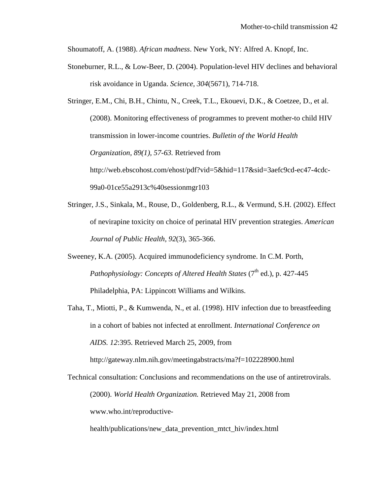Shoumatoff, A. (1988). *African madness*. New York, NY: Alfred A. Knopf, Inc.

Stoneburner, R.L., & Low-Beer, D. (2004). Population-level HIV declines and behavioral risk avoidance in Uganda. *Science, 304*(5671), 714-718.

Stringer, E.M., Chi, B.H., Chintu, N., Creek, T.L., Ekouevi, D.K., & Coetzee, D., et al. (2008). Monitoring effectiveness of programmes to prevent mother-to child HIV transmission in lower-income countries. *Bulletin of the World Health Organization, 89(1), 57-63.* Retrieved from http://web.ebscohost.com/ehost/pdf?vid=5&hid=117&sid=3aefc9cd-ec47-4cdc-99a0-01ce55a2913c%40sessionmgr103

- Stringer, J.S., Sinkala, M., Rouse, D., Goldenberg, R.L., & Vermund, S.H. (2002). Effect of nevirapine toxicity on choice of perinatal HIV prevention strategies. *American Journal of Public Health, 92*(3), 365-366.
- Sweeney, K.A. (2005). Acquired immunodeficiency syndrome. In C.M. Porth, *Pathophysiology: Concepts of Altered Health States (7<sup>th</sup> ed.), p. 427-445* Philadelphia, PA: Lippincott Williams and Wilkins.
- Taha, T., Miotti, P., & Kumwenda, N., et al. (1998). HIV infection due to breastfeeding in a cohort of babies not infected at enrollment. *International Conference on AIDS. 12*:395. Retrieved March 25, 2009, from

Technical consultation: Conclusions and recommendations on the use of antiretrovirals. (2000). *World Health Organization.* Retrieved May 21, 2008 from

http://gateway.nlm.nih.gov/meetingabstracts/ma?f=102228900.html

www.who.int/reproductive-

health/publications/new data prevention mtct hiv/index.html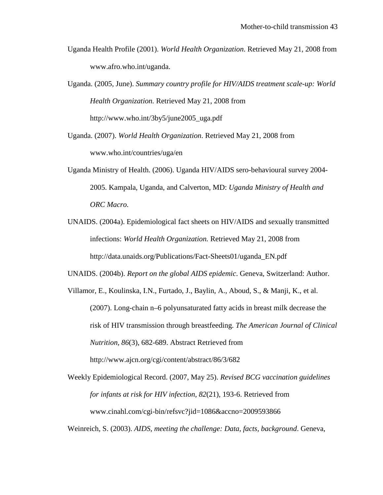- Uganda Health Profile (2001). *World Health Organization*. Retrieved May 21, 2008 from www.afro.who.int/uganda.
- Uganda. (2005, June). *Summary country profile for HIV/AIDS treatment scale-up: World Health Organization.* Retrieved May 21, 2008 from http://www.who.int/3by5/june2005\_uga.pdf
- Uganda. (2007). *World Health Organization*. Retrieved May 21, 2008 from www.who.int/countries/uga/en
- Uganda Ministry of Health. (2006). Uganda HIV/AIDS sero-behavioural survey 2004- 2005. Kampala, Uganda, and Calverton, MD: *Uganda Ministry of Health and ORC Macro.*
- UNAIDS. (2004a). Epidemiological fact sheets on HIV/AIDS and sexually transmitted infections: *World Health Organization.* Retrieved May 21, 2008 from http://data.unaids.org/Publications/Fact-Sheets01/uganda\_EN.pdf

UNAIDS. (2004b). *Report on the global AIDS epidemic*. Geneva, Switzerland: Author.

Villamor, E., Koulinska, I.N., Furtado, J., Baylin, A., Aboud, S., & Manji, K., et al. (2007). Long-chain n–6 polyunsaturated fatty acids in breast milk decrease the risk of HIV transmission through breastfeeding. *The American Journal of Clinical Nutrition, 86*(3), 682-689. Abstract Retrieved from http://www.ajcn.org/cgi/content/abstract/86/3/682

Weekly Epidemiological Record. (2007, May 25). *Revised BCG vaccination guidelines for infants at risk for HIV infection, 82*(21), 193-6. Retrieved from www.cinahl.com/cgi-bin/refsvc?jid=1086&accno=2009593866

Weinreich, S. (2003). *AIDS, meeting the challenge: Data, facts, background*. Geneva,